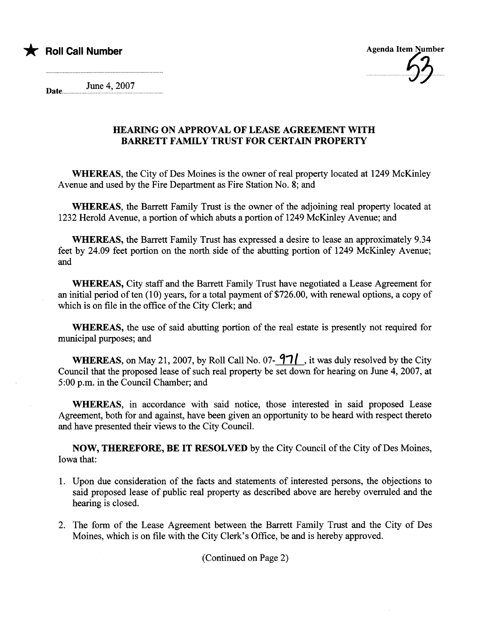



Date June 4, 2007

## HEARING ON APPROVAL OF LEASE AGREEMENT WITH BARRETT FAMILY TRUST FOR CERTAIN PROPERTY

WHEREAS, the City of Des Moines is the owner of real property located at 1249 McKinley Avenue and used by the Fire Department as Fire Station No. 8; and

WHEREAS, the Barrett Family Trust is the owner of the adjoining real property located at 1232 Herold Avenue, a portion of which abuts a portion of 1249 McKinley Avenue; and

WHEREAS, the Barett Family Trust has expressed a desire to lease an approximately 9.34 feet by 24.09 feet portion on the north side of the abutting portion of 1249 McKinley Avenue; and

WHEREAS, City staff and the Barett Family Trust have negotiated a Lease Agreement for an initial period of ten  $(10)$  years, for a total payment of \$726.00, with renewal options, a copy of which is on file in the office of the City Clerk; and

WHEREAS, the use of said abutting portion of the real estate is presently not required for municipal purposes; and

WHEREAS, on May 21, 2007, by Roll Call No. 07- $\frac{97}{}$ , it was duly resolved by the City Council that the proposed lease of such real property be set down for hearing on June 4, 2007, at 5:00 p.m. in the Council Chamber; and

WHEREAS, in accordance with said notice, those interested in said proposed Lease Agreement, both for and against, have been given an opportunity to be heard with respect thereto and have presented their views to the City CounciL.

NOW, THEREFORE, BE IT RESOLVED by the City Council of the City of Des Moines, Iowa that:

- 1. Upon due consideration of the facts and statements of interested persons, the objections to said proposed lease of public real property as described above are hereby overruled and the hearing is closed.
- 2. The form of the Lease Agreement between the Barett Family Trust and the City of Des Moines, which is on file with the City Clerk's Office, be and is hereby approved.

(Continued on Page 2)